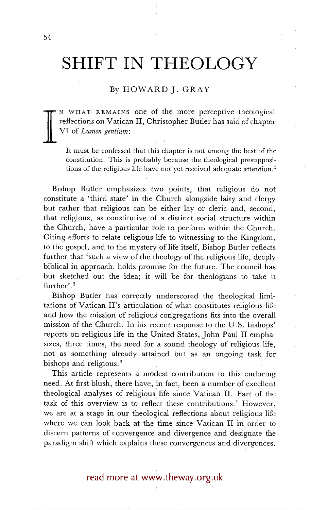# **SHIFT IN THEOLOGY**

## By HOWARD j. GRAY

**I**  N WHAT REMAINS one of the more perceptive theological reflections on Vatican II, Christopher Butler has said of chapter VI of *Lumen gentium:* 

It must be confessed that this chapter is not among the best of the constitution. This is probably because the theological presuppositions of the religious life have not yet received adequate attention.<sup>1</sup>

Bishop Butler emphasizes two points, that religious do not constitute a 'third state' in the Church alongside laity and clergy but rather that religious can be either lay or cleric and, second, that religious, as constitutive of a distinct social structure within the Church, have a particular role to perform within the Church. Citing efforts to relate religious life to witnessing to the Kingdom, to the gospel, and to the mystery of life itself, Bishop Butler reflects further that 'such a view of the theology of the religious life, deeply biblical in approach, holds promise for the future. The council has but sketched out the idea; it will be for theologians to take it further'.<sup>2</sup>

Bishop Butler has correctly underscored the theological limitations of Vatican II's articulation of what constitutes religious life and how the mission of religious congregations fits into the overall mission of the Church. In his recent response to the U.S. bishops' reports on religious life in the United States, John Paul II emphasizes, three times, the need for a sound theology of religious life, not as something already attained but as an ongoing task for bishops and religious.<sup>3</sup>

This article represents a modest contribution to this enduring need. At first blush, there have, in fact, been a number of excellent theological analyses of religious life since Vatican II. Part of the task of this overview is to reflect these contributions.<sup>4</sup> However, we are at a stage in our theological reflections about religious life where we can look back at the time since Vatican II in order to discern patterns of convergence and divergence and designate the paradigm shift which explains these convergences and divergences.

read more at www.theway.org.uk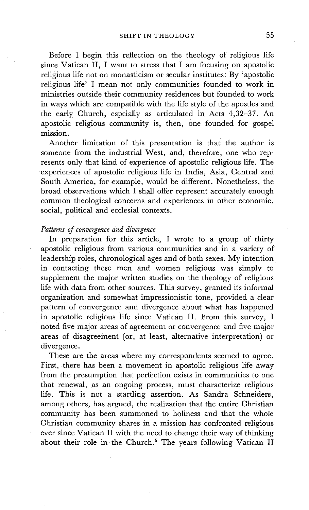Before I begin this reflection on the theology of religious life since Vatican II, I want to stress that I am focusing on apostolic religious life not on monasticism or secular institutes. By 'apostolic religious life' I mean not only communities founded to work in ministries outside their community residences but founded to work in ways which are compatible with the life style of the apostles and the early Church, espcially as articulated in Acts 4,32-37. An apostolic religious community is, then, one founded for gospel mission.

Another limitation of this presentation is that the author is someone from the industrial West, and, therefore, one who represents only that kind of experience of apostolic religious life. The experiences of apostolic religious life in India, Asia, Central and South America, for example, would be different. Nonetheless, the broad observations which I shall offer represent accurately enough common theological concerns and experiences in other economic, social, political and ecclesial contexts.

### *Patterns of convergence and divergence*

In preparation for this article, I wrote to a group of thirty apostolic religious from various communities and in a variety of leadership roles, chronological ages and of both sexes. My intention in contacting these men and women religious was simply to supplement the major written studies on the theology of religious life with data from other sources. This survey, granted its informal organization and somewhat impressionistic tone, provided a clear pattern of convergence and divergence about what has happened in apostolic religious life since Vatican II. From this survey, I noted five major areas of agreement or convergence and five major areas of disagreement (or, at least, alternative interpretation) or divergence.

These are the areas where my correspondents seemed to agree. First, there has been a movement in apostolic religious life away from the presumption that perfection exists in communities to one that renewal, as an ongoing process, must characterize religious life. This is not a startling assertion. As Sandra Schneiders, among others, has argued, the realization that the entire Christian community has been summoned to holiness and that the whole Christian community shares in a mission has confronted religious ever since Vatican II with the need to change their way of thinking about their role in the Church.<sup>5</sup> The years following Vatican II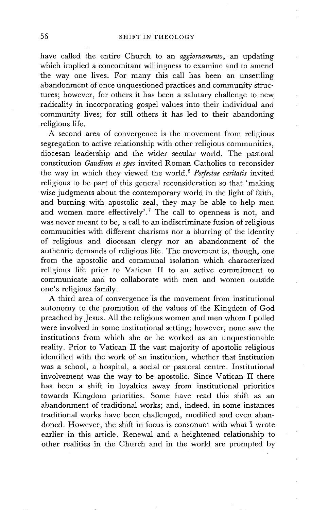have called the entire Church to an *aggiornamento,* an updating which implied a concomitant willingness to examine and to amend the way one lives. For many this call has been an unsettling abandonment of once unquestioned practices and community structures; however, for others it has been a salutary challenge to new radicality in incorporating gospel values into their individual and community lives; for still others it has led to their abandoning religious life.

A second area of convergence is the movement from religious segregation to active relationship with other religious communities, diocesan leadership and the wider secular world. The pastoral constitution *Gaudium et spes* invited Roman Catholics to reconsider the way in which they viewed the world. 6 *Perfectae caritatis* invited religious to be part of this general reconsideration so that 'making wise judgments about the contemporary world in the light of faith, and burning with apostolic zeal, they may be able to help men and women more effectively'.<sup>7</sup> The call to openness is not, and was never meant to be, a call to an indiscriminate fusion of religious communities with different charisms nor a blurring of the identity of religious and diocesan clergy nor an abandonment of the authentic demands of religious life. The movement is, though, one from the apostolic and communal isolation which characterized religious life prior to Vatican II to an active commitment to communicate and to collaborate with men and women outside one's religious family.

A third area of convergence is the movement from institutional autonomy to the promotion of the values of the Kingdom of God preached by Jesus. All the religious women and men whom I polled were involved in some institutional setting; however, none saw the institutions from which she or he worked as an unquestionable reality. Prior to Vatican II the vast majority of apostolic religious identified with the work of an institution, whether that institution was a school, a hospital, a social or pastoral centre. Institutional involvement was the way to be apostolic. Since Vatican II there has been a shift in loyalties away from institutional priorities towards Kingdom priorities. Some have read this shift as an abandonment of traditional works; and, indeed, in some instances traditional works have been challenged, modified and even abandoned. However, the shift in focus is consonant with what I wrote earlier in this article. Renewal and a heightened relationship to other realities in the Church and in the world are prompted by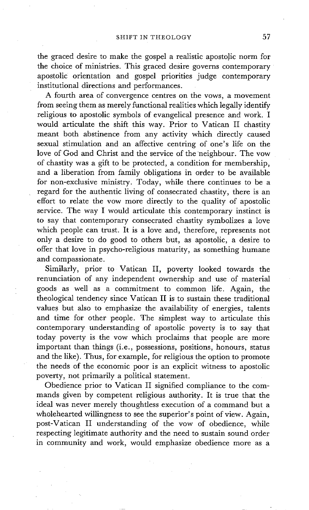the graced desire to make the gospel a realistic apostolic norm for the choice of ministries. This graced desire governs contemporary apostolic orientation and gospel priorities judge contemporary institutional directions and performances.

A fourth area of convergence centres on the vows, a movement from seeing them as merely functional realities which legally identify religious to apostolic symbols of evangelical presence and work. I would articulate the shift this way. Prior to Vatican II chastity meant both abstinence from any activity which directly caused sexual stimulation and an affective centring of one's life on the love of God and Christ and the service of the neighbour. The vow of chastity was a gift to be protected, a condition for membership, and a liberation from family obligations in order to be available for non-exclusive ministry. Today, while there continues to be a regard for the authentic living of consecrated chastity, there is an effort to relate the vow more directly to the quality of apostolic service. The way I would articulate this contemporary instinct is to say that contemporary consecrated chastity symbolizes a love which people can trust. It is a love and, therefore, represents not only a desire to do good to others but, as apostolic, a desire to offer that love in psycho-religious maturity, as something humane and compassionate.

Similarly, prior to Vatican II, poverty looked towards the renunciation of any independent ownership and use of material goods as well as a commitment to common life. Again, the theological tendency since Vatican II is to sustain these traditional values but also to emphasize the availability of energies, talents and time for other people. The simplest way to articulate this contemporary understanding of apostolic poverty is to say that today poverty is the vow which proclaims that people are more important than things (i.e., possessions, positions, honours, status and the like). Thus, for example, for religious the option to promote the needs of the economic poor is an explicit witness to apostolic poverty, not primarily a political statement.

Obedience prior to Vatican II signified compliance to the commands given by competent religious authority. It is true that the ideal was never merely thoughtless execution of a command but a wholehearted willingness to see the superior's point of view. Again, post-Vatican II understanding of the vow of obedience, while respecting legitimate authority and the need to sustain sound order in community and work, would emphasize obedience more as a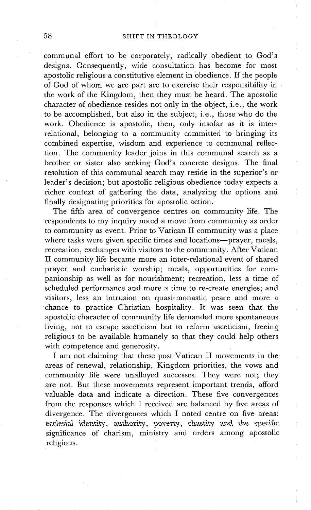communal effort to be corporately, radically obedient to God's designs. Consequently, wide consultation has become for most apostolic religious a constitutive element in obedience. If the people of God of whom we are part are to exercise their responsibility in the work of the Kingdom, then they must be heard. The apostolic character of obedience resides not only in the object, i.e., the work to be accomplished, but also in the subject, i.e., those who do the work. Obedience is apostolic, then, only insofar as it is interrelational, belonging to a community committed to bringing its combined expertise, wisdom and experience to communal reflection. The community leader joins in this communal search as a brother or sister also seeking God's concrete designs. The final resolution of this communal search may reside in the superior's or leader's decision; but apostolic religious obedience today expects a richer context of gathering the data, analyzing the options and finally designating priorities for apostolic action.

The fifth area of convergence centres on community life. The respondents to my inquiry noted a move from community as order to community as event. Prior to Vatican II community was a place where tasks were given specific times and locations--prayer, meals, recreation, exchanges with visitors to the community. After Vatican II community life became more an inter-relational event of shared prayer and eucharistic worship; meals, opportunities for companionship as well as for nourishment; recreation, less a time of scheduled performance and more a time to re-create energies; and visitors, less an intrusion on quasi-monastic peace and more a chance to practice Christian hospitality. It was seen that the apostolic character of community life demanded more spontaneous living, not to escape asceticism but to reform asceticism, freeing religious to be available humanely so that they could help others with competence and generosity.

I am not claiming that these post-Vatican II movements in the areas of renewal, relationship, Kingdom priorities, the vows and community life were unalloyed successes. They were not; they are not. But these movements represent important trends, afford valuable data and indicate a direction. These five convergences from the responses which I received are balanced by five areas of divergence. The divergences which I noted centre on five areas: ecclesial identity, authority, poverty, chastity and the specific significance of charism, ministry and orders among apostolic religious.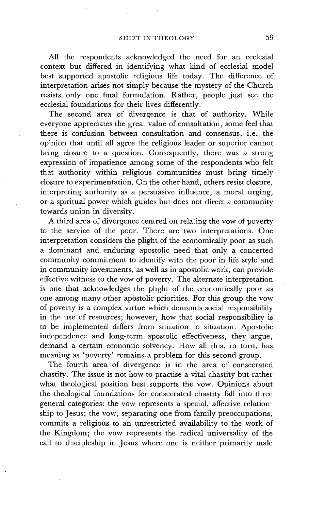All the respondents acknowledged the need for an ecclesial context but differed in identifying what kind of ecclesial model best supported apostolic religious life today. The difference of interpretation arises not simply because the mystery of the Church resists only one final formulation. Rather, people just see the ecclesial foundations for their lives differently.

The second area of divergence is that of authority. While everyone appreciates the great value of consultation, some feel that there is confusion between consultation and consensus, i.e. the opinion that until all agree the religious leader or superior cannot bring closure to a question. Consequently, there was a strong expression of impatience among some of the respondents who felt that authority within religious communities must bring timely closure to experimentation. On the other hand, others resist closure, interpreting authority as a persuasive influence, a moral urging, or a spiritual power which guides but does not direct a community towards union in diversity.

A third area of divergence centred on relating the vow of poverty to the service of the poor. There are two interpretations. One interpretation considers the plight of the economically poor as such a dominant and enduring apostolic need that only a concerted community commitment to identify with the poor in life style and in community investments, as well as in apostolic work, can provide effective witness to the vow of poverty. The alternate interpretation is one that acknowledges the plight of the economically poor as one among many other apostolic priorities. For this group the vow of poverty is a complex virtue which demands social responsibility in the use of resources; however, how that social responsibility is to be implemented differs from situation to situation. Apostolic independence and long-term apostolic effectiveness, they argue, demand a certain economic solvency. How all this, in turn, has meaning as 'poverty' remains a problem for this second group.

The fourth area of divergence is in the area of consecrated chastity. The issue is not how to practise a vital chastity but rather what theological position best supports the vow. Opinions about the theological foundations for consecrated chastity fall into three general categories: the vow represents a special, affective relationship to Jesus; the vow, separating one from family preoccupations, commits a religious to an unrestricted availability to the work of the Kingdom; the vow represents the radical universality of the call to discipleship in Jesus where one is neither primarily male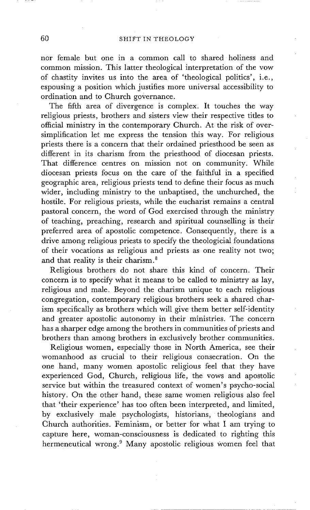nor female but one in a common call to shared holiness and common mission. This latter theological interpretation of the vow of chastity invites us into the area of 'theological politics', i.e., espousing a position which justifies more universal accessibility to ordination and to Church governance.

The fifth area of divergence is complex. It touches the way religious priests, brothers and sisters view their respective titles to official ministry in the contemporary Church. At the risk of oversimplification let me express the tension this way. For religious priests there is a concern that their ordained priesthood be seen as different in its charism from the priesthood of diocesan priests. That difference centres on mission not on community. While diocesan priests focus on the care of the faithful in a specified geographic area, religious priests tend to define their focus as much wider, including ministry to the unbaptised, the unchurched, the hostile. For religious priests, while the eucharist remains a central pastoral concern, the word of God exercised through the ministry of teaching, preaching, research and spiritual counselling is their preferred area of apostolic competence. Consequently, there is a drive among religious priests to specify the theologicial foundations of their vocations as religious and priests as one reality not two; and that reality is their charism. 8

Religious brothers do not share this kind of concern. Their concern is to specify what it means to be called to ministry as lay, religious and male. Beyond the charism unique to each religious congregation, contemporary religious brothers seek a shared charism specifically as brothers which will give them better self-identity and greater apostolic autonomy in their ministries. The concern has a sharper edge among the brothers in communities of priests and brothers than among brothers in exclusively brother communities.

Religious women, especially those in North America, see their womanhood as crucial to their religious consecration. On the one hand, many women apostolic religious feel that they have experienced God, Church, religious life, the vows and apostolic service but within the treasured context of women's psycho-social history. On the other hand, these same women religious also feel that 'their experience' has too often been interpreted, and limited, by exclusively male psychologists, historians, theologians and Church authorities. Feminism, or better for what I am trying to capture here, woman-consciousness is dedicated to righting this hermeneutical wrong.<sup>9</sup> Many apostolic religious women feel that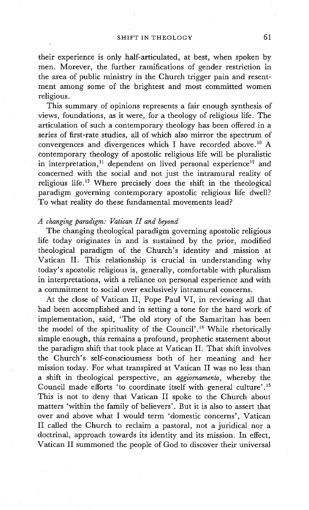their experience is only half-articulated, at best, when spoken by men. Morever, the further ramifications of gender restriction in the area of public ministry in the Church trigger pain and resentment among some of the brightest and most committed women religious.

This summary of opinions represents a fair enough synthesis of views, foundations, as it were, for a theology of religious life. The articulation of such a contemporary theology has been offered in a series of first-rate studies, all of which also mirror the spectrum of convergences and divergences which I have recorded above.<sup>10</sup> A contemporary theology of apostolic religious life will be pluralistic in interpretation,<sup>11</sup> dependent on lived personal experience<sup>12</sup> and concerned with the social and not just the intramural reality of religious life. 13 Where precisely does the shift in the theological paradigm governing contemporary apostolic religious life dwell? To what reality do these fundamental movements lead?

### *A changing paradigm: Vatican H and beyond*

The changing theological paradigm governing apostolic religious life today originates in and is sustained by the prior, modified theological paradigm of the Church's identity and mission at Vatican II. This relationship is crucial in understanding why today's apostolic religious is, generally, comfortable with pluralism in interpretations, with a reliance on personal experience and with a commitment to social over exclusively intramural concerns.

At the close of Vatican II, Pope Paul VI, in reviewing all that had been accomplished and in setting a tone for the hard work of implementation, said, 'The old story of the Samaritan has been the model of the spirituality of the Council'.<sup>14</sup> While rhetorically simple enough, this remains a profound, prophetic statement about the paradigm shift that took place at Vatican II. That shift involves the Church's self-consciousness both of her meaning and her mission today. For what transpired at Vatican II was no less than a shift in theological perspective, an *aggiornamento,* whereby the Council made efforts 'to coordinate itself with general culture'. 15 This is not to deny that Vatican II spoke to the Church about matters 'within the family of believers'. But it is also to assert that over and above what I would term 'domestic concerns', Vatican II called the Church to reclaim a pastoral, not a juridical nor a doctrinal, approach towards its identity and its mission. In effect, Vatican II summoned the people of God to discover their universal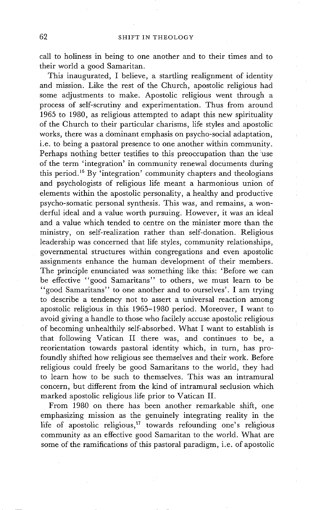call to holiness in being to one another and to their times and to their world a good Samaritan.

This inaugurated, I believe, a startling realignment of identity and mission. Like the rest of the Church, apostolic religious had some adjustments to make. Apostolic religious went through a process of self-scrutiny and experimentation. Thus from around 1965 to 1980, as religious attempted to adapt this new spirituality of the Church to their particular charisms, life styles and apostolic works, there was a dominant emphasis on psycho-social adaptation, i.e. to being a pastoral presence to one another within community. Perhaps nothing better testifies to this preoccupation than the use of the term 'integration' in community renewal documents during this period. 16 By 'integration' community chapters and theologians and psychologists of religious life meant a harmonious union of elements within the apostolic personality, a healthy and productive psycho-somatic personal synthesis. This was, and remains, a wonderful ideal and a value worth pursuing. However, it was an ideal and a value which tended to centre on the minister more than the ministry, on self-realization rather than self-donation. Religious leadership was concerned that life styles, community relationships, governmental structures within congregations and even apostolic assignments enhance the human development of their members. The principle enunciated was something like this: 'Before we can be effective "good Samaritans" to others, we must learn to be "good Samaritans" to one another and to ourselves'. I am trying to describe a tendency not to assert a universal reaction among apostolic religious in this 1965-1980 period. Moreover, I want to avoid giving a handle to those who facilely accuse apostolic religious of becoming unhealthily self-absorbed. What I want to establish is that following Vatican II there was, and continues to be, a reorientation towards pastoral identity which, in turn, has profoundly shifted how religious see themselves and their work. Before religious could freely be good Samaritans to the world, they had to learn how to be such to themselves. This was an intramural concern, but different from the kind of intramural seclusion which marked apostolic religious life prior to Vatican II.

From 1980 on there has been another remarkable shift, one emphasizing mission as the genuinely integrating reality in the life of apostolic religious,<sup>17</sup> towards refounding one's religious community as an effective good Samaritan to the world. What are some of the ramifications of this pastoral paradigm, i.e. of apostolic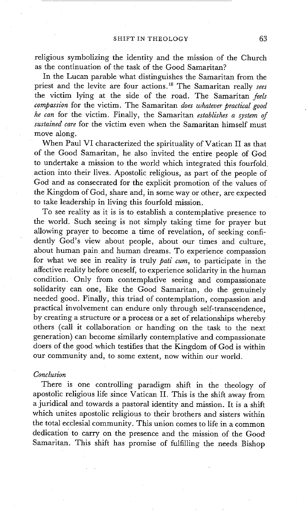religious symbolizing the identity and the mission of the Church as the continuation of the task of the Good Samaritan?

In the Lucan parable what distinguishes the Samaritan from the priest and the levite are four actions. 18 The Samaritan really *sees*  the victim lying at the side of the road. The Samaritan *feels compassion* for the victim. The Samaritan *does whatever practical good he can* for the victim. Finally, the Samaritan *establishes a system of Sustained care* for the victim even when the Samaritan himself must move along.

When Paul VI characterized the spirituality of Vatican II as that of the Good Samaritan, he also invited the entire people of God to undertake a mission to the world which integrated this fourfold action into their lives. Apostolic religious, as part of the people of God and as consecrated for the explicit promotion of the values of the Kingdom of God, share and, in some way or other, are expected to take leadership in living this fourfold mission.

To see reality as it is is to establish a contemplative presence to the world. Such seeing is not simply taking time for prayer but allowing prayer to become a time of revelation, of seeking confidently God's view about people, about our times and culture, about human pain and human dreams. To experience compassion for what we see in reality is truly *pati cum,* to participate in the affective reality before oneself, to experience solidarity in the human condition. Only from contemplative seeing and compassionate solidarity can one, like the Good Samaritan, do the genuinely needed good. Finally, this triad of contemplation, compassion and practical involvement can endure only through self-transcendence, by creating a structure or a process or a set of relationships whereby others (call it collaboration or handing on the task to the next generation) can become similarly contemplative and compassionate doers of the good which testifies that the Kingdom of God is within our community and, to some extent, now within our world.

### *Conclusion*

There is one controlling paradigm shift in the theology of apostolic religious life since Vatican II. This is the shift away from a juridical and towards a pastoral identity and mission. It is a shift which unites apostolic religious to their brothers and sisters within the total ecclesial community. This union comes to life in a common dedication to carry on the presence and the mission of the Good Samaritan. This shift has promise of fulfilling the needs Bishop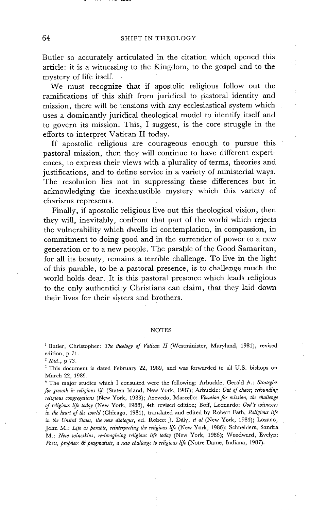Butler so accurately articulated in the citation which opened this article: it is a witnessing to the Kingdom, to the gospel and to the mystery of life itself.

We must recognize that if apostolic religious follow out the ramifications of this shift from juridical to pastoral identity and mission, there will be tensions with any ecclesiastical system which uses a dominantly juridical theological model to identify itself and to govern its mission. This, I suggest, is the core struggle in the efforts to interpret Vatican II today.

If apostolic religious are courageous enough to pursue this pastoral mission, then they will continue to have different experiences, to express their views with a plurality of terms, theories and justifications, and to define service in a variety of ministerial ways. The resolution lies not in suppressing these differences but in acknowledging the inexhaustible mystery which this variety of charisms represents.

Finally, if apostolic religious live out this theological vision, then they will, inevitably, confront that part of the world which rejects the vulnerability which dwells in contemplation, in compassion, in commitment to doing good and in the surrender of power to a new generation or to a new people. The parable of the Good Samaritan, for all its beauty, remains a terrible challenge. To live in the light of this parable, to be a pastoral presence, is to challenge much the world holds dear. It is this pastoral presence which leads religious to the only authenticity Christians can claim, that they laid down their lives for their sisters and brothers.

#### NOTES

<sup>1</sup> Butler, Christopher: *The theology of Vatican II* (Westminister, Maryland, 1981), revised edition, p 71.

*2 Ibid.,* p 73.

3 This document is dated February 22, 1989, and was forwarded to all U.S. bishops on March 22, 1989.

4 The major studies which I consulted were the following: Arbuckle, Gerald A.: *Strategies for growth in religious life* (Staten Island, New York, 1987); Arbuckle: *Out of chaos; refounding religious congregations* (New York, 1988); Azevedo, Marcello: *Vocation for mission, the challenge of religious life today* (New York, 1988), 4th revised edition; Boff, Leonardo: *God's witnesses in the heart of the world* (Chicago, 1981), translated and edited by Robert Fath, *Religious life in the United States, the new dialogue,* ed. Robert J. Daly, *et al* (New York, 1984); Lozano, John M.: *Life as parable, reinterpreting the religious life* (New York, 1986); Schneiders, Sandra M.: *New wineskins, re-imaglning religious life today* (New York, 1986); Woodward, Evelyn: Poets, prophets & pragmatists, a new challenge to religious life (Notre Dame, Indiana, 1987).